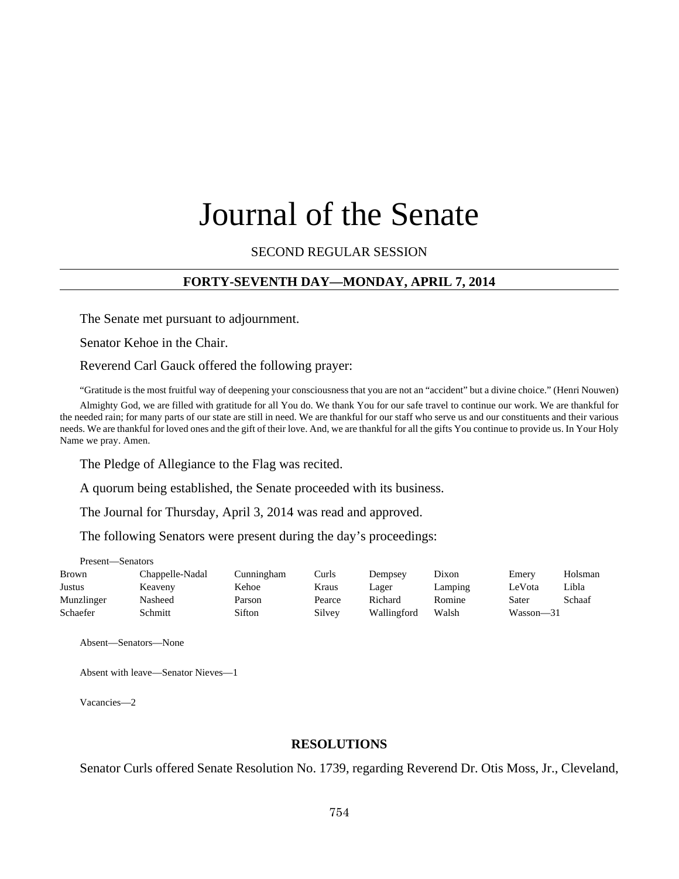# Journal of the Senate

SECOND REGULAR SESSION

## **FORTY-SEVENTH DAY—MONDAY, APRIL 7, 2014**

The Senate met pursuant to adjournment.

Senator Kehoe in the Chair.

Reverend Carl Gauck offered the following prayer:

"Gratitude is the most fruitful way of deepening your consciousness that you are not an "accident" but a divine choice." (Henri Nouwen)

Almighty God, we are filled with gratitude for all You do. We thank You for our safe travel to continue our work. We are thankful for the needed rain; for many parts of our state are still in need. We are thankful for our staff who serve us and our constituents and their various needs. We are thankful for loved ones and the gift of their love. And, we are thankful for all the gifts You continue to provide us. In Your Holy Name we pray. Amen.

The Pledge of Allegiance to the Flag was recited.

A quorum being established, the Senate proceeded with its business.

The Journal for Thursday, April 3, 2014 was read and approved.

The following Senators were present during the day's proceedings:

| Present—Senators |                 |            |        |             |         |           |         |  |  |  |
|------------------|-----------------|------------|--------|-------------|---------|-----------|---------|--|--|--|
| Brown            | Chappelle-Nadal | Cunningham | Curls  | Dempsey     | Dixon   | Emery     | Holsman |  |  |  |
| Justus           | Keaveny         | Kehoe      | Kraus  | Lager       | Lamping | LeVota    | Libla   |  |  |  |
| Munzlinger       | Nasheed         | Parson     | Pearce | Richard     | Romine  | Sater     | Schaaf  |  |  |  |
| Schaefer         | Schmitt         | Sifton     | Silvey | Wallingford | Walsh   | Wasson-31 |         |  |  |  |

Absent—Senators—None

Absent with leave—Senator Nieves—1

Vacancies—2

#### **RESOLUTIONS**

Senator Curls offered Senate Resolution No. 1739, regarding Reverend Dr. Otis Moss, Jr., Cleveland,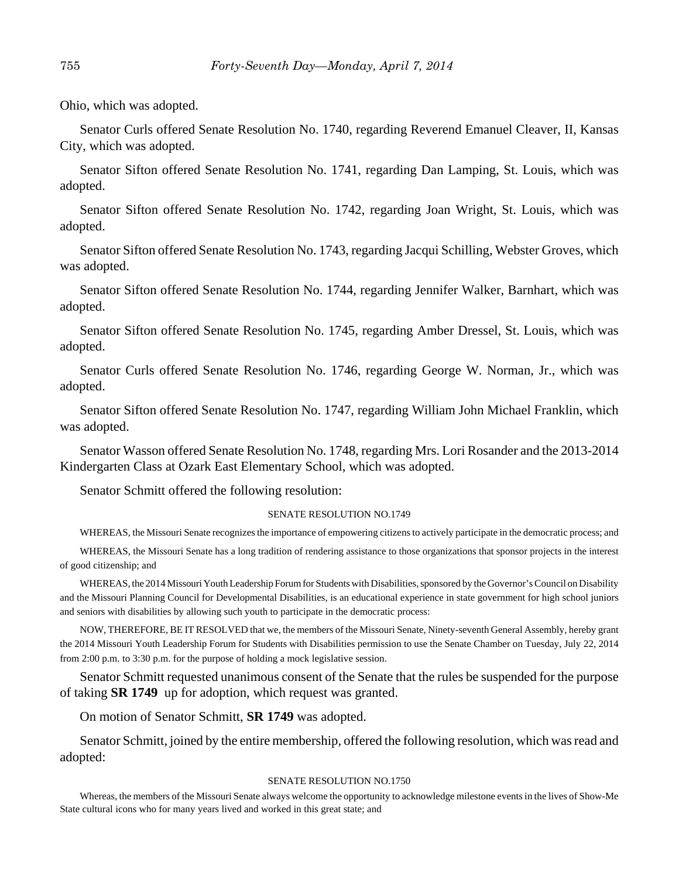Ohio, which was adopted.

Senator Curls offered Senate Resolution No. 1740, regarding Reverend Emanuel Cleaver, II, Kansas City, which was adopted.

Senator Sifton offered Senate Resolution No. 1741, regarding Dan Lamping, St. Louis, which was adopted.

Senator Sifton offered Senate Resolution No. 1742, regarding Joan Wright, St. Louis, which was adopted.

Senator Sifton offered Senate Resolution No. 1743, regarding Jacqui Schilling, Webster Groves, which was adopted.

Senator Sifton offered Senate Resolution No. 1744, regarding Jennifer Walker, Barnhart, which was adopted.

Senator Sifton offered Senate Resolution No. 1745, regarding Amber Dressel, St. Louis, which was adopted.

Senator Curls offered Senate Resolution No. 1746, regarding George W. Norman, Jr., which was adopted.

Senator Sifton offered Senate Resolution No. 1747, regarding William John Michael Franklin, which was adopted.

Senator Wasson offered Senate Resolution No. 1748, regarding Mrs. Lori Rosander and the 2013-2014 Kindergarten Class at Ozark East Elementary School, which was adopted.

Senator Schmitt offered the following resolution:

#### SENATE RESOLUTION NO.1749

WHEREAS, the Missouri Senate recognizes the importance of empowering citizens to actively participate in the democratic process; and

WHEREAS, the Missouri Senate has a long tradition of rendering assistance to those organizations that sponsor projects in the interest of good citizenship; and

WHEREAS, the 2014 Missouri Youth Leadership Forum for Students with Disabilities, sponsored by the Governor's Council on Disability and the Missouri Planning Council for Developmental Disabilities, is an educational experience in state government for high school juniors and seniors with disabilities by allowing such youth to participate in the democratic process:

NOW, THEREFORE, BE IT RESOLVED that we, the members of the Missouri Senate, Ninety-seventh General Assembly, hereby grant the 2014 Missouri Youth Leadership Forum for Students with Disabilities permission to use the Senate Chamber on Tuesday, July 22, 2014 from 2:00 p.m. to 3:30 p.m. for the purpose of holding a mock legislative session.

Senator Schmitt requested unanimous consent of the Senate that the rules be suspended for the purpose of taking **SR 1749** up for adoption, which request was granted.

On motion of Senator Schmitt, **SR 1749** was adopted.

Senator Schmitt, joined by the entire membership, offered the following resolution, which was read and adopted:

#### SENATE RESOLUTION NO.1750

Whereas, the members of the Missouri Senate always welcome the opportunity to acknowledge milestone events in the lives of Show-Me State cultural icons who for many years lived and worked in this great state; and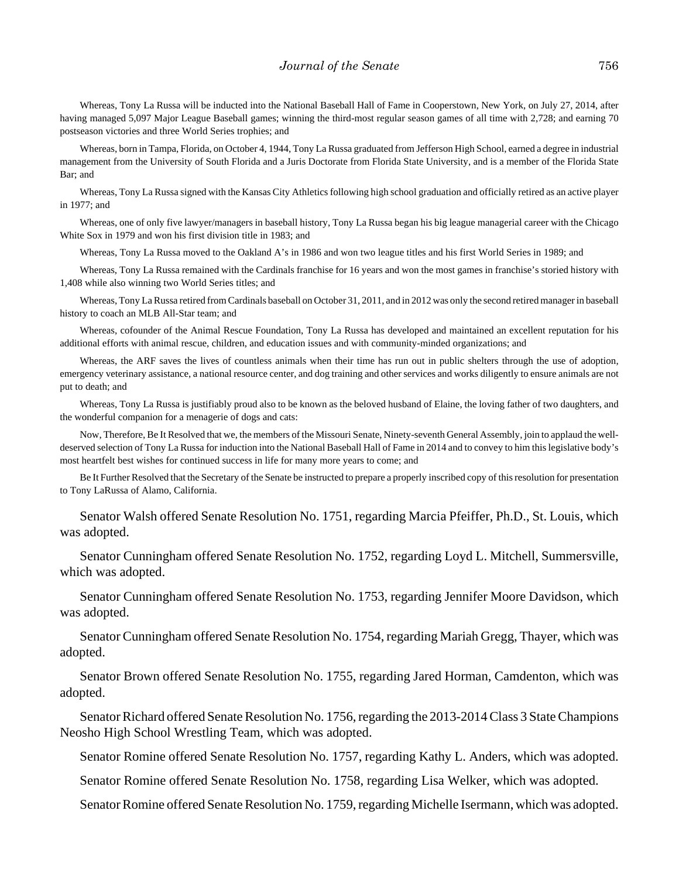#### *Journal of the Senate* 756

Whereas, Tony La Russa will be inducted into the National Baseball Hall of Fame in Cooperstown, New York, on July 27, 2014, after having managed 5,097 Major League Baseball games; winning the third-most regular season games of all time with 2,728; and earning 70 postseason victories and three World Series trophies; and

Whereas, born in Tampa, Florida, on October 4, 1944, Tony La Russa graduated from Jefferson High School, earned a degree in industrial management from the University of South Florida and a Juris Doctorate from Florida State University, and is a member of the Florida State Bar; and

Whereas, Tony La Russa signed with the Kansas City Athletics following high school graduation and officially retired as an active player in 1977; and

Whereas, one of only five lawyer/managers in baseball history, Tony La Russa began his big league managerial career with the Chicago White Sox in 1979 and won his first division title in 1983; and

Whereas, Tony La Russa moved to the Oakland A's in 1986 and won two league titles and his first World Series in 1989; and

Whereas, Tony La Russa remained with the Cardinals franchise for 16 years and won the most games in franchise's storied history with 1,408 while also winning two World Series titles; and

Whereas, Tony La Russa retired from Cardinals baseball on October 31, 2011, and in 2012 was only the second retired manager in baseball history to coach an MLB All-Star team; and

Whereas, cofounder of the Animal Rescue Foundation, Tony La Russa has developed and maintained an excellent reputation for his additional efforts with animal rescue, children, and education issues and with community-minded organizations; and

Whereas, the ARF saves the lives of countless animals when their time has run out in public shelters through the use of adoption, emergency veterinary assistance, a national resource center, and dog training and other services and works diligently to ensure animals are not put to death; and

Whereas, Tony La Russa is justifiably proud also to be known as the beloved husband of Elaine, the loving father of two daughters, and the wonderful companion for a menagerie of dogs and cats:

Now, Therefore, Be It Resolved that we, the members of the Missouri Senate, Ninety-seventh General Assembly, join to applaud the welldeserved selection of Tony La Russa for induction into the National Baseball Hall of Fame in 2014 and to convey to him this legislative body's most heartfelt best wishes for continued success in life for many more years to come; and

Be It Further Resolved that the Secretary of the Senate be instructed to prepare a properly inscribed copy of this resolution for presentation to Tony LaRussa of Alamo, California.

Senator Walsh offered Senate Resolution No. 1751, regarding Marcia Pfeiffer, Ph.D., St. Louis, which was adopted.

Senator Cunningham offered Senate Resolution No. 1752, regarding Loyd L. Mitchell, Summersville, which was adopted.

Senator Cunningham offered Senate Resolution No. 1753, regarding Jennifer Moore Davidson, which was adopted.

Senator Cunningham offered Senate Resolution No. 1754, regarding Mariah Gregg, Thayer, which was adopted.

Senator Brown offered Senate Resolution No. 1755, regarding Jared Horman, Camdenton, which was adopted.

Senator Richard offered Senate Resolution No. 1756, regarding the 2013-2014 Class 3 State Champions Neosho High School Wrestling Team, which was adopted.

Senator Romine offered Senate Resolution No. 1757, regarding Kathy L. Anders, which was adopted.

Senator Romine offered Senate Resolution No. 1758, regarding Lisa Welker, which was adopted.

Senator Romine offered Senate Resolution No. 1759, regarding Michelle Isermann, which was adopted.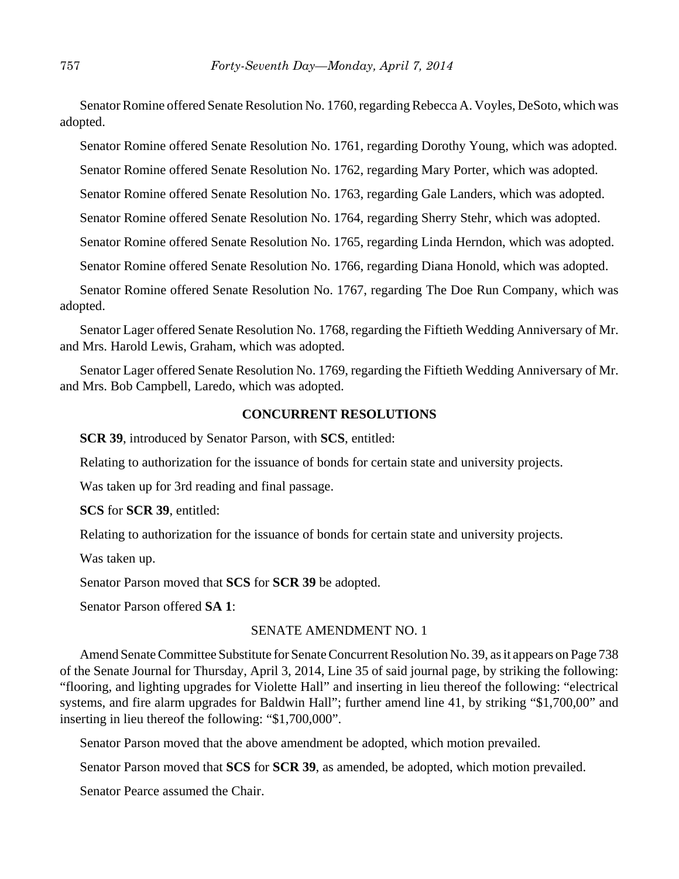Senator Romine offered Senate Resolution No. 1760, regarding Rebecca A. Voyles, DeSoto, which was adopted.

Senator Romine offered Senate Resolution No. 1761, regarding Dorothy Young, which was adopted.

Senator Romine offered Senate Resolution No. 1762, regarding Mary Porter, which was adopted.

Senator Romine offered Senate Resolution No. 1763, regarding Gale Landers, which was adopted.

Senator Romine offered Senate Resolution No. 1764, regarding Sherry Stehr, which was adopted.

Senator Romine offered Senate Resolution No. 1765, regarding Linda Herndon, which was adopted.

Senator Romine offered Senate Resolution No. 1766, regarding Diana Honold, which was adopted.

Senator Romine offered Senate Resolution No. 1767, regarding The Doe Run Company, which was adopted.

Senator Lager offered Senate Resolution No. 1768, regarding the Fiftieth Wedding Anniversary of Mr. and Mrs. Harold Lewis, Graham, which was adopted.

Senator Lager offered Senate Resolution No. 1769, regarding the Fiftieth Wedding Anniversary of Mr. and Mrs. Bob Campbell, Laredo, which was adopted.

#### **CONCURRENT RESOLUTIONS**

**SCR 39**, introduced by Senator Parson, with **SCS**, entitled:

Relating to authorization for the issuance of bonds for certain state and university projects.

Was taken up for 3rd reading and final passage.

**SCS** for **SCR 39**, entitled:

Relating to authorization for the issuance of bonds for certain state and university projects.

Was taken up.

Senator Parson moved that **SCS** for **SCR 39** be adopted.

Senator Parson offered **SA 1**:

#### SENATE AMENDMENT NO. 1

Amend Senate Committee Substitute for Senate Concurrent Resolution No. 39, as it appears on Page 738 of the Senate Journal for Thursday, April 3, 2014, Line 35 of said journal page, by striking the following: "flooring, and lighting upgrades for Violette Hall" and inserting in lieu thereof the following: "electrical systems, and fire alarm upgrades for Baldwin Hall"; further amend line 41, by striking "\$1,700,00" and inserting in lieu thereof the following: "\$1,700,000".

Senator Parson moved that the above amendment be adopted, which motion prevailed.

Senator Parson moved that **SCS** for **SCR 39**, as amended, be adopted, which motion prevailed.

Senator Pearce assumed the Chair.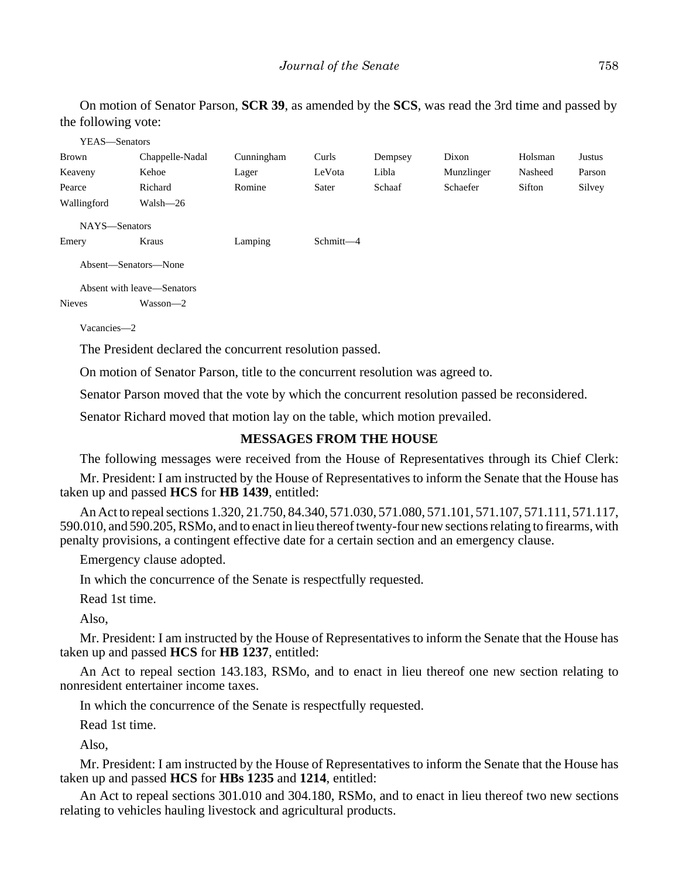On motion of Senator Parson, **SCR 39**, as amended by the **SCS**, was read the 3rd time and passed by the following vote:

| YEAS—Senators        |                            |            |           |         |            |         |        |  |
|----------------------|----------------------------|------------|-----------|---------|------------|---------|--------|--|
| Brown                | Chappelle-Nadal            | Cunningham | Curls     | Dempsey | Dixon      | Holsman | Justus |  |
| Keaveny              | Kehoe                      | Lager      | LeVota    | Libla   | Munzlinger | Nasheed | Parson |  |
| Pearce               | Richard                    | Romine     | Sater     | Schaaf  | Schaefer   | Sifton  | Silvey |  |
| Wallingford          | Walsh-26                   |            |           |         |            |         |        |  |
| NAYS-Senators        |                            |            |           |         |            |         |        |  |
| Emery                | Kraus                      | Lamping    | Schmitt-4 |         |            |         |        |  |
| Absent-Senators-None |                            |            |           |         |            |         |        |  |
|                      | Absent with leave—Senators |            |           |         |            |         |        |  |
| <b>Nieves</b>        | Wasson-2                   |            |           |         |            |         |        |  |
| Vacancies-2          |                            |            |           |         |            |         |        |  |

The President declared the concurrent resolution passed.

On motion of Senator Parson, title to the concurrent resolution was agreed to.

Senator Parson moved that the vote by which the concurrent resolution passed be reconsidered.

Senator Richard moved that motion lay on the table, which motion prevailed.

#### **MESSAGES FROM THE HOUSE**

The following messages were received from the House of Representatives through its Chief Clerk:

Mr. President: I am instructed by the House of Representatives to inform the Senate that the House has taken up and passed **HCS** for **HB 1439**, entitled:

An Act to repeal sections 1.320, 21.750, 84.340, 571.030, 571.080, 571.101, 571.107, 571.111, 571.117, 590.010, and 590.205, RSMo, and to enact in lieu thereof twenty-four new sections relating to firearms, with penalty provisions, a contingent effective date for a certain section and an emergency clause.

Emergency clause adopted.

In which the concurrence of the Senate is respectfully requested.

Read 1st time.

Also,

Mr. President: I am instructed by the House of Representatives to inform the Senate that the House has taken up and passed **HCS** for **HB 1237**, entitled:

An Act to repeal section 143.183, RSMo, and to enact in lieu thereof one new section relating to nonresident entertainer income taxes.

In which the concurrence of the Senate is respectfully requested.

Read 1st time.

Also,

Mr. President: I am instructed by the House of Representatives to inform the Senate that the House has taken up and passed **HCS** for **HBs 1235** and **1214**, entitled:

An Act to repeal sections 301.010 and 304.180, RSMo, and to enact in lieu thereof two new sections relating to vehicles hauling livestock and agricultural products.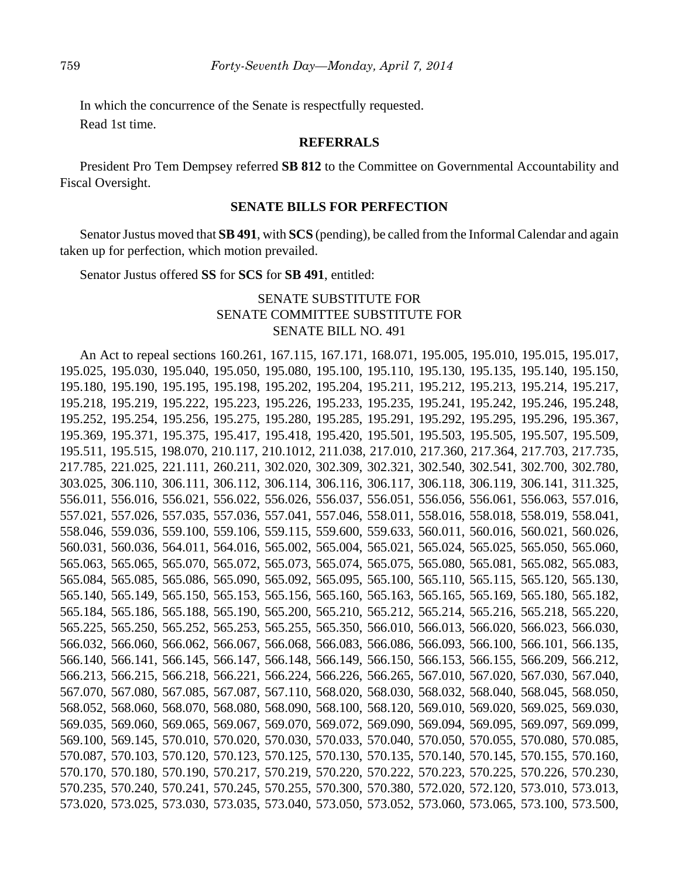In which the concurrence of the Senate is respectfully requested. Read 1st time.

## **REFERRALS**

President Pro Tem Dempsey referred **SB 812** to the Committee on Governmental Accountability and Fiscal Oversight.

#### **SENATE BILLS FOR PERFECTION**

Senator Justus moved that **SB 491**, with **SCS** (pending), be called from the Informal Calendar and again taken up for perfection, which motion prevailed.

Senator Justus offered **SS** for **SCS** for **SB 491**, entitled:

# SENATE SUBSTITUTE FOR SENATE COMMITTEE SUBSTITUTE FOR SENATE BILL NO. 491

An Act to repeal sections 160.261, 167.115, 167.171, 168.071, 195.005, 195.010, 195.015, 195.017, 195.025, 195.030, 195.040, 195.050, 195.080, 195.100, 195.110, 195.130, 195.135, 195.140, 195.150, 195.180, 195.190, 195.195, 195.198, 195.202, 195.204, 195.211, 195.212, 195.213, 195.214, 195.217, 195.218, 195.219, 195.222, 195.223, 195.226, 195.233, 195.235, 195.241, 195.242, 195.246, 195.248, 195.252, 195.254, 195.256, 195.275, 195.280, 195.285, 195.291, 195.292, 195.295, 195.296, 195.367, 195.369, 195.371, 195.375, 195.417, 195.418, 195.420, 195.501, 195.503, 195.505, 195.507, 195.509, 195.511, 195.515, 198.070, 210.117, 210.1012, 211.038, 217.010, 217.360, 217.364, 217.703, 217.735, 217.785, 221.025, 221.111, 260.211, 302.020, 302.309, 302.321, 302.540, 302.541, 302.700, 302.780, 303.025, 306.110, 306.111, 306.112, 306.114, 306.116, 306.117, 306.118, 306.119, 306.141, 311.325, 556.011, 556.016, 556.021, 556.022, 556.026, 556.037, 556.051, 556.056, 556.061, 556.063, 557.016, 557.021, 557.026, 557.035, 557.036, 557.041, 557.046, 558.011, 558.016, 558.018, 558.019, 558.041, 558.046, 559.036, 559.100, 559.106, 559.115, 559.600, 559.633, 560.011, 560.016, 560.021, 560.026, 560.031, 560.036, 564.011, 564.016, 565.002, 565.004, 565.021, 565.024, 565.025, 565.050, 565.060, 565.063, 565.065, 565.070, 565.072, 565.073, 565.074, 565.075, 565.080, 565.081, 565.082, 565.083, 565.084, 565.085, 565.086, 565.090, 565.092, 565.095, 565.100, 565.110, 565.115, 565.120, 565.130, 565.140, 565.149, 565.150, 565.153, 565.156, 565.160, 565.163, 565.165, 565.169, 565.180, 565.182, 565.184, 565.186, 565.188, 565.190, 565.200, 565.210, 565.212, 565.214, 565.216, 565.218, 565.220, 565.225, 565.250, 565.252, 565.253, 565.255, 565.350, 566.010, 566.013, 566.020, 566.023, 566.030, 566.032, 566.060, 566.062, 566.067, 566.068, 566.083, 566.086, 566.093, 566.100, 566.101, 566.135, 566.140, 566.141, 566.145, 566.147, 566.148, 566.149, 566.150, 566.153, 566.155, 566.209, 566.212, 566.213, 566.215, 566.218, 566.221, 566.224, 566.226, 566.265, 567.010, 567.020, 567.030, 567.040, 567.070, 567.080, 567.085, 567.087, 567.110, 568.020, 568.030, 568.032, 568.040, 568.045, 568.050, 568.052, 568.060, 568.070, 568.080, 568.090, 568.100, 568.120, 569.010, 569.020, 569.025, 569.030, 569.035, 569.060, 569.065, 569.067, 569.070, 569.072, 569.090, 569.094, 569.095, 569.097, 569.099, 569.100, 569.145, 570.010, 570.020, 570.030, 570.033, 570.040, 570.050, 570.055, 570.080, 570.085, 570.087, 570.103, 570.120, 570.123, 570.125, 570.130, 570.135, 570.140, 570.145, 570.155, 570.160, 570.170, 570.180, 570.190, 570.217, 570.219, 570.220, 570.222, 570.223, 570.225, 570.226, 570.230, 570.235, 570.240, 570.241, 570.245, 570.255, 570.300, 570.380, 572.020, 572.120, 573.010, 573.013, 573.020, 573.025, 573.030, 573.035, 573.040, 573.050, 573.052, 573.060, 573.065, 573.100, 573.500,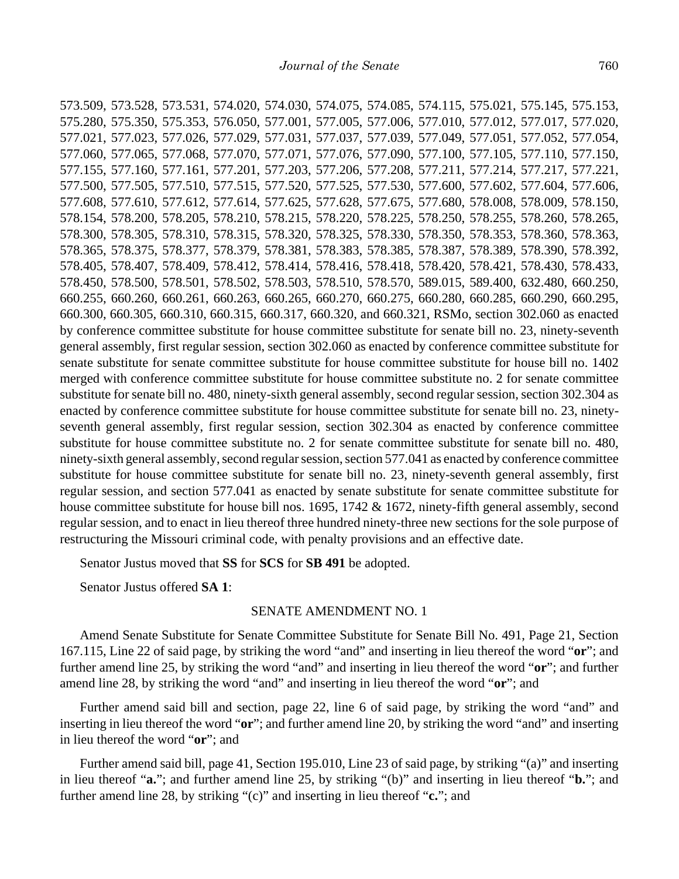573.509, 573.528, 573.531, 574.020, 574.030, 574.075, 574.085, 574.115, 575.021, 575.145, 575.153, 575.280, 575.350, 575.353, 576.050, 577.001, 577.005, 577.006, 577.010, 577.012, 577.017, 577.020, 577.021, 577.023, 577.026, 577.029, 577.031, 577.037, 577.039, 577.049, 577.051, 577.052, 577.054, 577.060, 577.065, 577.068, 577.070, 577.071, 577.076, 577.090, 577.100, 577.105, 577.110, 577.150, 577.155, 577.160, 577.161, 577.201, 577.203, 577.206, 577.208, 577.211, 577.214, 577.217, 577.221, 577.500, 577.505, 577.510, 577.515, 577.520, 577.525, 577.530, 577.600, 577.602, 577.604, 577.606, 577.608, 577.610, 577.612, 577.614, 577.625, 577.628, 577.675, 577.680, 578.008, 578.009, 578.150, 578.154, 578.200, 578.205, 578.210, 578.215, 578.220, 578.225, 578.250, 578.255, 578.260, 578.265, 578.300, 578.305, 578.310, 578.315, 578.320, 578.325, 578.330, 578.350, 578.353, 578.360, 578.363, 578.365, 578.375, 578.377, 578.379, 578.381, 578.383, 578.385, 578.387, 578.389, 578.390, 578.392, 578.405, 578.407, 578.409, 578.412, 578.414, 578.416, 578.418, 578.420, 578.421, 578.430, 578.433, 578.450, 578.500, 578.501, 578.502, 578.503, 578.510, 578.570, 589.015, 589.400, 632.480, 660.250, 660.255, 660.260, 660.261, 660.263, 660.265, 660.270, 660.275, 660.280, 660.285, 660.290, 660.295, 660.300, 660.305, 660.310, 660.315, 660.317, 660.320, and 660.321, RSMo, section 302.060 as enacted by conference committee substitute for house committee substitute for senate bill no. 23, ninety-seventh general assembly, first regular session, section 302.060 as enacted by conference committee substitute for senate substitute for senate committee substitute for house committee substitute for house bill no. 1402 merged with conference committee substitute for house committee substitute no. 2 for senate committee substitute for senate bill no. 480, ninety-sixth general assembly, second regular session, section 302.304 as enacted by conference committee substitute for house committee substitute for senate bill no. 23, ninetyseventh general assembly, first regular session, section 302.304 as enacted by conference committee substitute for house committee substitute no. 2 for senate committee substitute for senate bill no. 480, ninety-sixth general assembly, second regular session, section 577.041 as enacted by conference committee substitute for house committee substitute for senate bill no. 23, ninety-seventh general assembly, first regular session, and section 577.041 as enacted by senate substitute for senate committee substitute for house committee substitute for house bill nos. 1695, 1742 & 1672, ninety-fifth general assembly, second regular session, and to enact in lieu thereof three hundred ninety-three new sections for the sole purpose of restructuring the Missouri criminal code, with penalty provisions and an effective date.

Senator Justus moved that **SS** for **SCS** for **SB 491** be adopted.

Senator Justus offered **SA 1**:

#### SENATE AMENDMENT NO. 1

Amend Senate Substitute for Senate Committee Substitute for Senate Bill No. 491, Page 21, Section 167.115, Line 22 of said page, by striking the word "and" and inserting in lieu thereof the word "**or**"; and further amend line 25, by striking the word "and" and inserting in lieu thereof the word "**or**"; and further amend line 28, by striking the word "and" and inserting in lieu thereof the word "**or**"; and

Further amend said bill and section, page 22, line 6 of said page, by striking the word "and" and inserting in lieu thereof the word "**or**"; and further amend line 20, by striking the word "and" and inserting in lieu thereof the word "**or**"; and

Further amend said bill, page 41, Section 195.010, Line 23 of said page, by striking "(a)" and inserting in lieu thereof "**a.**"; and further amend line 25, by striking "(b)" and inserting in lieu thereof "**b.**"; and further amend line 28, by striking "(c)" and inserting in lieu thereof "**c.**"; and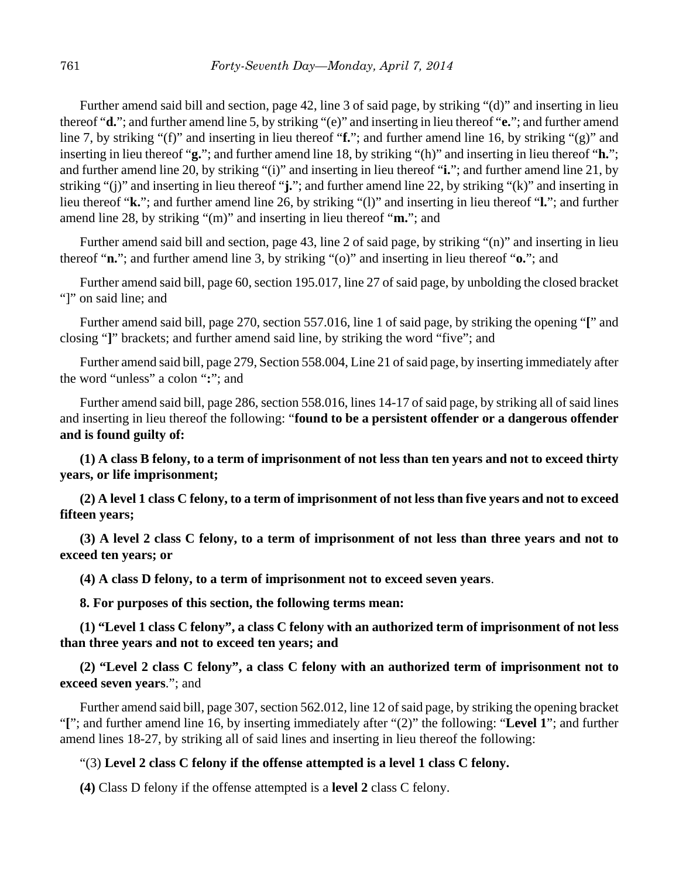Further amend said bill and section, page 42, line 3 of said page, by striking "(d)" and inserting in lieu thereof "**d.**"; and further amend line 5, by striking "(e)" and inserting in lieu thereof "**e.**"; and further amend line 7, by striking "(f)" and inserting in lieu thereof "**f.**"; and further amend line 16, by striking "(g)" and inserting in lieu thereof "**g.**"; and further amend line 18, by striking "(h)" and inserting in lieu thereof "**h.**"; and further amend line 20, by striking "(i)" and inserting in lieu thereof "**i.**"; and further amend line 21, by striking "(j)" and inserting in lieu thereof "**j.**"; and further amend line 22, by striking "(k)" and inserting in lieu thereof "**k.**"; and further amend line 26, by striking "(l)" and inserting in lieu thereof "**l.**"; and further amend line 28, by striking "(m)" and inserting in lieu thereof "**m.**"; and

Further amend said bill and section, page 43, line 2 of said page, by striking "(n)" and inserting in lieu thereof "**n.**"; and further amend line 3, by striking "(o)" and inserting in lieu thereof "**o.**"; and

Further amend said bill, page 60, section 195.017, line 27 of said page, by unbolding the closed bracket "]" on said line; and

Further amend said bill, page 270, section 557.016, line 1 of said page, by striking the opening "**[**" and closing "**]**" brackets; and further amend said line, by striking the word "five"; and

Further amend said bill, page 279, Section 558.004, Line 21 of said page, by inserting immediately after the word "unless" a colon "**:**"; and

Further amend said bill, page 286, section 558.016, lines 14-17 of said page, by striking all of said lines and inserting in lieu thereof the following: "**found to be a persistent offender or a dangerous offender and is found guilty of:**

**(1) A class B felony, to a term of imprisonment of not less than ten years and not to exceed thirty years, or life imprisonment;**

**(2) A level 1 class C felony, to a term of imprisonment of not less than five years and not to exceed fifteen years;**

**(3) A level 2 class C felony, to a term of imprisonment of not less than three years and not to exceed ten years; or**

**(4) A class D felony, to a term of imprisonment not to exceed seven years**.

**8. For purposes of this section, the following terms mean:**

**(1) "Level 1 class C felony", a class C felony with an authorized term of imprisonment of not less than three years and not to exceed ten years; and**

**(2) "Level 2 class C felony", a class C felony with an authorized term of imprisonment not to exceed seven years**."; and

Further amend said bill, page 307, section 562.012, line 12 of said page, by striking the opening bracket "**[**"; and further amend line 16, by inserting immediately after "(2)" the following: "**Level 1**"; and further amend lines 18-27, by striking all of said lines and inserting in lieu thereof the following:

# "(3) **Level 2 class C felony if the offense attempted is a level 1 class C felony.**

**(4)** Class D felony if the offense attempted is a **level 2** class C felony.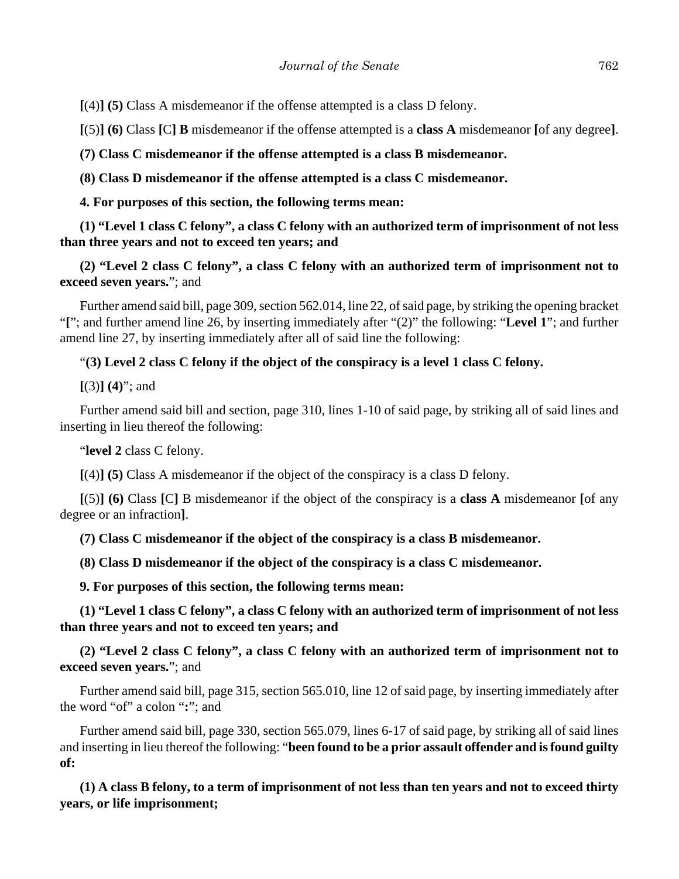**[**(4)**] (5)** Class A misdemeanor if the offense attempted is a class D felony.

**[**(5)**] (6)** Class **[**C**] B** misdemeanor if the offense attempted is a **class A** misdemeanor **[**of any degree**]**.

**(7) Class C misdemeanor if the offense attempted is a class B misdemeanor.**

**(8) Class D misdemeanor if the offense attempted is a class C misdemeanor.**

**4. For purposes of this section, the following terms mean:**

**(1) "Level 1 class C felony", a class C felony with an authorized term of imprisonment of not less than three years and not to exceed ten years; and**

**(2) "Level 2 class C felony", a class C felony with an authorized term of imprisonment not to exceed seven years.**"; and

Further amend said bill, page 309, section 562.014, line 22, of said page, by striking the opening bracket "**[**"; and further amend line 26, by inserting immediately after "(2)" the following: "**Level 1**"; and further amend line 27, by inserting immediately after all of said line the following:

## "**(3) Level 2 class C felony if the object of the conspiracy is a level 1 class C felony.**

**[**(3)**] (4)**"; and

Further amend said bill and section, page 310, lines 1-10 of said page, by striking all of said lines and inserting in lieu thereof the following:

"**level 2** class C felony.

**[**(4)**] (5)** Class A misdemeanor if the object of the conspiracy is a class D felony.

**[**(5)**] (6)** Class **[**C**]** B misdemeanor if the object of the conspiracy is a **class A** misdemeanor **[**of any degree or an infraction**]**.

**(7) Class C misdemeanor if the object of the conspiracy is a class B misdemeanor.**

**(8) Class D misdemeanor if the object of the conspiracy is a class C misdemeanor.**

**9. For purposes of this section, the following terms mean:**

**(1) "Level 1 class C felony", a class C felony with an authorized term of imprisonment of not less than three years and not to exceed ten years; and**

**(2) "Level 2 class C felony", a class C felony with an authorized term of imprisonment not to exceed seven years.**"; and

Further amend said bill, page 315, section 565.010, line 12 of said page, by inserting immediately after the word "of" a colon "**:**"; and

Further amend said bill, page 330, section 565.079, lines 6-17 of said page, by striking all of said lines and inserting in lieu thereof the following: "**been found to be a prior assault offender and is found guilty of:**

**(1) A class B felony, to a term of imprisonment of not less than ten years and not to exceed thirty years, or life imprisonment;**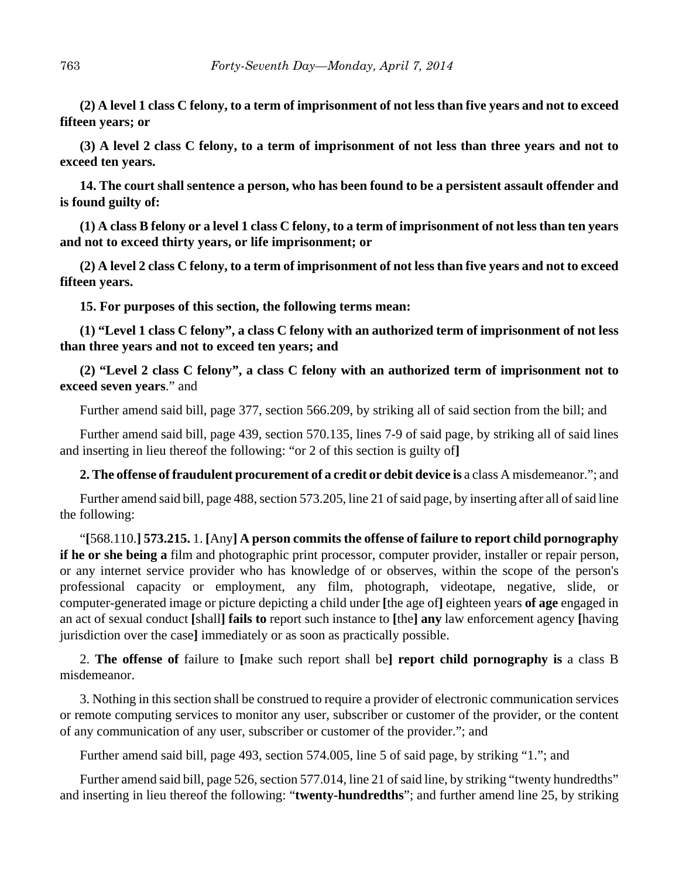**(2) A level 1 class C felony, to a term of imprisonment of not less than five years and not to exceed fifteen years; or**

**(3) A level 2 class C felony, to a term of imprisonment of not less than three years and not to exceed ten years.**

**14. The court shall sentence a person, who has been found to be a persistent assault offender and is found guilty of:**

**(1) A class B felony or a level 1 class C felony, to a term of imprisonment of not less than ten years and not to exceed thirty years, or life imprisonment; or**

**(2) A level 2 class C felony, to a term of imprisonment of not less than five years and not to exceed fifteen years.**

**15. For purposes of this section, the following terms mean:**

**(1) "Level 1 class C felony", a class C felony with an authorized term of imprisonment of not less than three years and not to exceed ten years; and**

**(2) "Level 2 class C felony", a class C felony with an authorized term of imprisonment not to exceed seven years**." and

Further amend said bill, page 377, section 566.209, by striking all of said section from the bill; and

Further amend said bill, page 439, section 570.135, lines 7-9 of said page, by striking all of said lines and inserting in lieu thereof the following: "or 2 of this section is guilty of**]**

**2. The offense of fraudulent procurement of a credit or debit device is** a class A misdemeanor."; and

Further amend said bill, page 488, section 573.205, line 21 of said page, by inserting after all of said line the following:

"**[**568.110.**] 573.215.** 1. **[**Any**] A person commits the offense of failure to report child pornography if he or she being a** film and photographic print processor, computer provider, installer or repair person, or any internet service provider who has knowledge of or observes, within the scope of the person's professional capacity or employment, any film, photograph, videotape, negative, slide, or computer-generated image or picture depicting a child under **[**the age of**]** eighteen years **of age** engaged in an act of sexual conduct **[**shall**] fails to** report such instance to **[**the**] any** law enforcement agency **[**having jurisdiction over the case**]** immediately or as soon as practically possible.

2. **The offense of** failure to **[**make such report shall be**] report child pornography is** a class B misdemeanor.

3. Nothing in this section shall be construed to require a provider of electronic communication services or remote computing services to monitor any user, subscriber or customer of the provider, or the content of any communication of any user, subscriber or customer of the provider."; and

Further amend said bill, page 493, section 574.005, line 5 of said page, by striking "1."; and

Further amend said bill, page 526, section 577.014, line 21 of said line, by striking "twenty hundredths" and inserting in lieu thereof the following: "**twenty-hundredths**"; and further amend line 25, by striking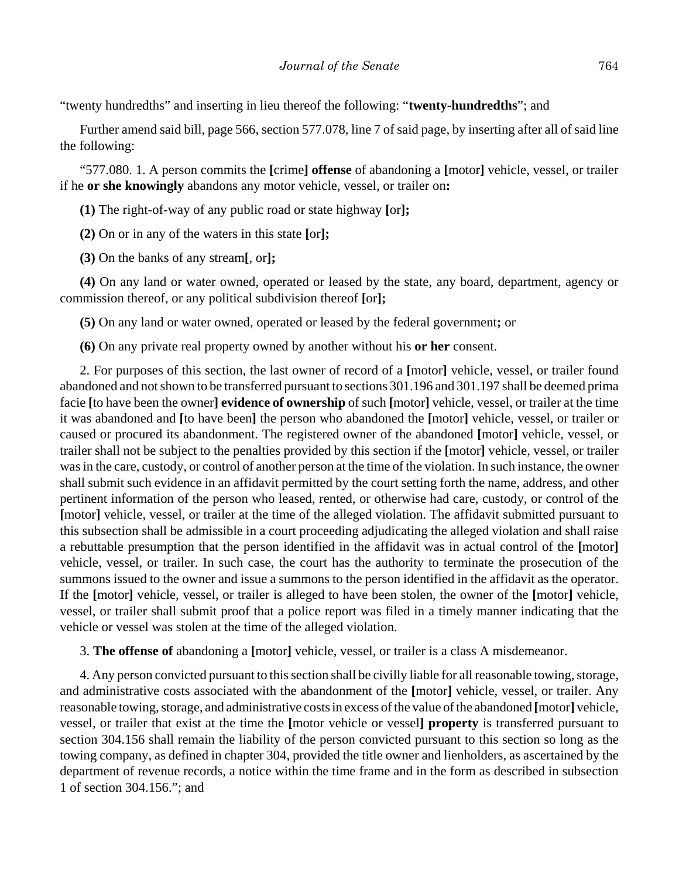"twenty hundredths" and inserting in lieu thereof the following: "**twenty-hundredths**"; and

Further amend said bill, page 566, section 577.078, line 7 of said page, by inserting after all of said line the following:

"577.080. 1. A person commits the **[**crime**] offense** of abandoning a **[**motor**]** vehicle, vessel, or trailer if he **or she knowingly** abandons any motor vehicle, vessel, or trailer on**:**

**(1)** The right-of-way of any public road or state highway **[**or**];**

**(2)** On or in any of the waters in this state **[**or**];**

**(3)** On the banks of any stream**[**, or**];**

**(4)** On any land or water owned, operated or leased by the state, any board, department, agency or commission thereof, or any political subdivision thereof **[**or**];**

**(5)** On any land or water owned, operated or leased by the federal government**;** or

**(6)** On any private real property owned by another without his **or her** consent.

2. For purposes of this section, the last owner of record of a **[**motor**]** vehicle, vessel, or trailer found abandoned and not shown to be transferred pursuant to sections 301.196 and 301.197 shall be deemed prima facie **[**to have been the owner**] evidence of ownership** of such **[**motor**]** vehicle, vessel, or trailer at the time it was abandoned and **[**to have been**]** the person who abandoned the **[**motor**]** vehicle, vessel, or trailer or caused or procured its abandonment. The registered owner of the abandoned **[**motor**]** vehicle, vessel, or trailer shall not be subject to the penalties provided by this section if the **[**motor**]** vehicle, vessel, or trailer was in the care, custody, or control of another person at the time of the violation. In such instance, the owner shall submit such evidence in an affidavit permitted by the court setting forth the name, address, and other pertinent information of the person who leased, rented, or otherwise had care, custody, or control of the **[**motor**]** vehicle, vessel, or trailer at the time of the alleged violation. The affidavit submitted pursuant to this subsection shall be admissible in a court proceeding adjudicating the alleged violation and shall raise a rebuttable presumption that the person identified in the affidavit was in actual control of the **[**motor**]** vehicle, vessel, or trailer. In such case, the court has the authority to terminate the prosecution of the summons issued to the owner and issue a summons to the person identified in the affidavit as the operator. If the **[**motor**]** vehicle, vessel, or trailer is alleged to have been stolen, the owner of the **[**motor**]** vehicle, vessel, or trailer shall submit proof that a police report was filed in a timely manner indicating that the vehicle or vessel was stolen at the time of the alleged violation.

3. **The offense of** abandoning a **[**motor**]** vehicle, vessel, or trailer is a class A misdemeanor.

4. Any person convicted pursuant to this section shall be civilly liable for all reasonable towing, storage, and administrative costs associated with the abandonment of the **[**motor**]** vehicle, vessel, or trailer. Any reasonable towing, storage, and administrative costs in excess of the value of the abandoned **[**motor**]** vehicle, vessel, or trailer that exist at the time the **[**motor vehicle or vessel**] property** is transferred pursuant to section 304.156 shall remain the liability of the person convicted pursuant to this section so long as the towing company, as defined in chapter 304, provided the title owner and lienholders, as ascertained by the department of revenue records, a notice within the time frame and in the form as described in subsection 1 of section 304.156."; and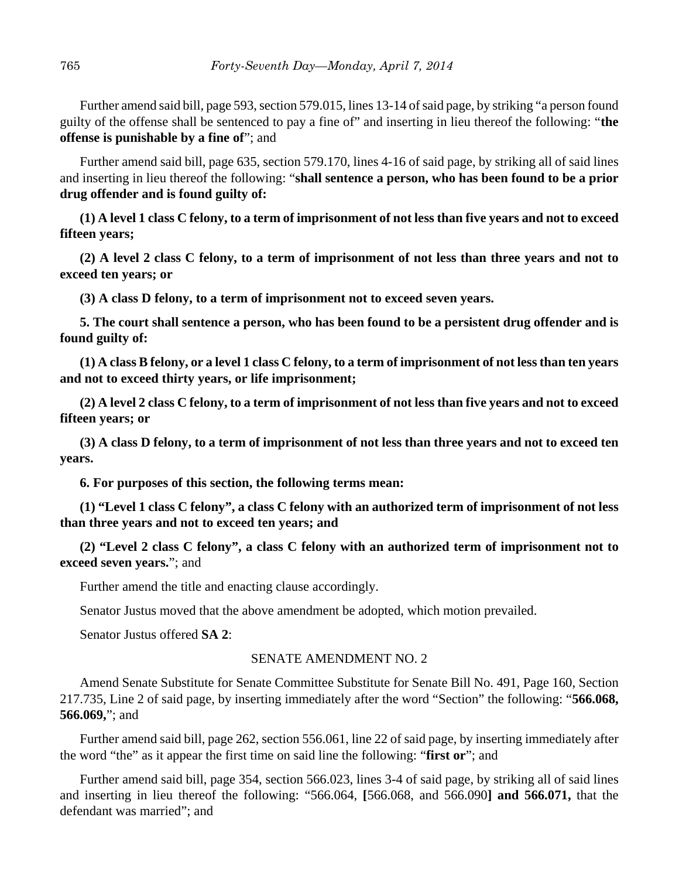Further amend said bill, page 593, section 579.015, lines 13-14 of said page, by striking "a person found guilty of the offense shall be sentenced to pay a fine of" and inserting in lieu thereof the following: "**the offense is punishable by a fine of**"; and

Further amend said bill, page 635, section 579.170, lines 4-16 of said page, by striking all of said lines and inserting in lieu thereof the following: "**shall sentence a person, who has been found to be a prior drug offender and is found guilty of:**

**(1) A level 1 class C felony, to a term of imprisonment of not less than five years and not to exceed fifteen years;**

**(2) A level 2 class C felony, to a term of imprisonment of not less than three years and not to exceed ten years; or**

**(3) A class D felony, to a term of imprisonment not to exceed seven years.**

**5. The court shall sentence a person, who has been found to be a persistent drug offender and is found guilty of:**

**(1) A class B felony, or a level 1 class C felony, to a term of imprisonment of not less than ten years and not to exceed thirty years, or life imprisonment;**

**(2) A level 2 class C felony, to a term of imprisonment of not less than five years and not to exceed fifteen years; or**

**(3) A class D felony, to a term of imprisonment of not less than three years and not to exceed ten years.**

**6. For purposes of this section, the following terms mean:**

**(1) "Level 1 class C felony", a class C felony with an authorized term of imprisonment of not less than three years and not to exceed ten years; and**

**(2) "Level 2 class C felony", a class C felony with an authorized term of imprisonment not to exceed seven years.**"; and

Further amend the title and enacting clause accordingly.

Senator Justus moved that the above amendment be adopted, which motion prevailed.

Senator Justus offered **SA 2**:

#### SENATE AMENDMENT NO. 2

Amend Senate Substitute for Senate Committee Substitute for Senate Bill No. 491, Page 160, Section 217.735, Line 2 of said page, by inserting immediately after the word "Section" the following: "**566.068, 566.069,**"; and

Further amend said bill, page 262, section 556.061, line 22 of said page, by inserting immediately after the word "the" as it appear the first time on said line the following: "**first or**"; and

Further amend said bill, page 354, section 566.023, lines 3-4 of said page, by striking all of said lines and inserting in lieu thereof the following: "566.064, **[**566.068, and 566.090**] and 566.071,** that the defendant was married"; and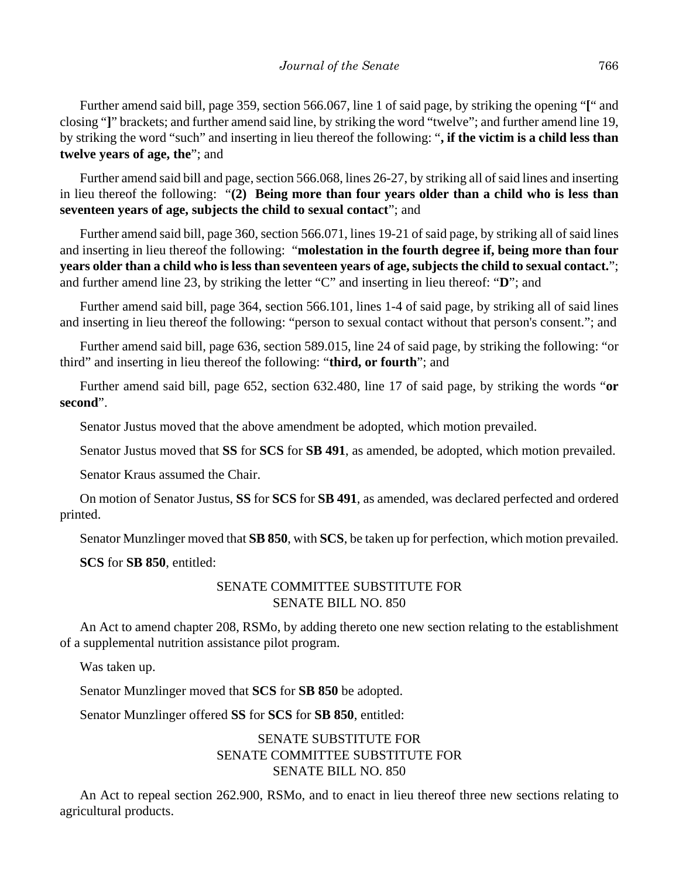Further amend said bill, page 359, section 566.067, line 1 of said page, by striking the opening "**[**" and closing "**]**" brackets; and further amend said line, by striking the word "twelve"; and further amend line 19, by striking the word "such" and inserting in lieu thereof the following: "**, if the victim is a child less than twelve years of age, the**"; and

Further amend said bill and page, section 566.068, lines 26-27, by striking all of said lines and inserting in lieu thereof the following: "**(2) Being more than four years older than a child who is less than seventeen years of age, subjects the child to sexual contact**"; and

Further amend said bill, page 360, section 566.071, lines 19-21 of said page, by striking all of said lines and inserting in lieu thereof the following: "**molestation in the fourth degree if, being more than four years older than a child who is less than seventeen years of age, subjects the child to sexual contact.**"; and further amend line 23, by striking the letter "C" and inserting in lieu thereof: "**D**"; and

Further amend said bill, page 364, section 566.101, lines 1-4 of said page, by striking all of said lines and inserting in lieu thereof the following: "person to sexual contact without that person's consent."; and

Further amend said bill, page 636, section 589.015, line 24 of said page, by striking the following: "or third" and inserting in lieu thereof the following: "**third, or fourth**"; and

Further amend said bill, page 652, section 632.480, line 17 of said page, by striking the words "**or second**".

Senator Justus moved that the above amendment be adopted, which motion prevailed.

Senator Justus moved that **SS** for **SCS** for **SB 491**, as amended, be adopted, which motion prevailed.

Senator Kraus assumed the Chair.

On motion of Senator Justus, **SS** for **SCS** for **SB 491**, as amended, was declared perfected and ordered printed.

Senator Munzlinger moved that **SB 850**, with **SCS**, be taken up for perfection, which motion prevailed.

**SCS** for **SB 850**, entitled:

# SENATE COMMITTEE SUBSTITUTE FOR SENATE BILL NO. 850

An Act to amend chapter 208, RSMo, by adding thereto one new section relating to the establishment of a supplemental nutrition assistance pilot program.

Was taken up.

Senator Munzlinger moved that **SCS** for **SB 850** be adopted.

Senator Munzlinger offered **SS** for **SCS** for **SB 850**, entitled:

# SENATE SUBSTITUTE FOR SENATE COMMITTEE SUBSTITUTE FOR SENATE BILL NO. 850

An Act to repeal section 262.900, RSMo, and to enact in lieu thereof three new sections relating to agricultural products.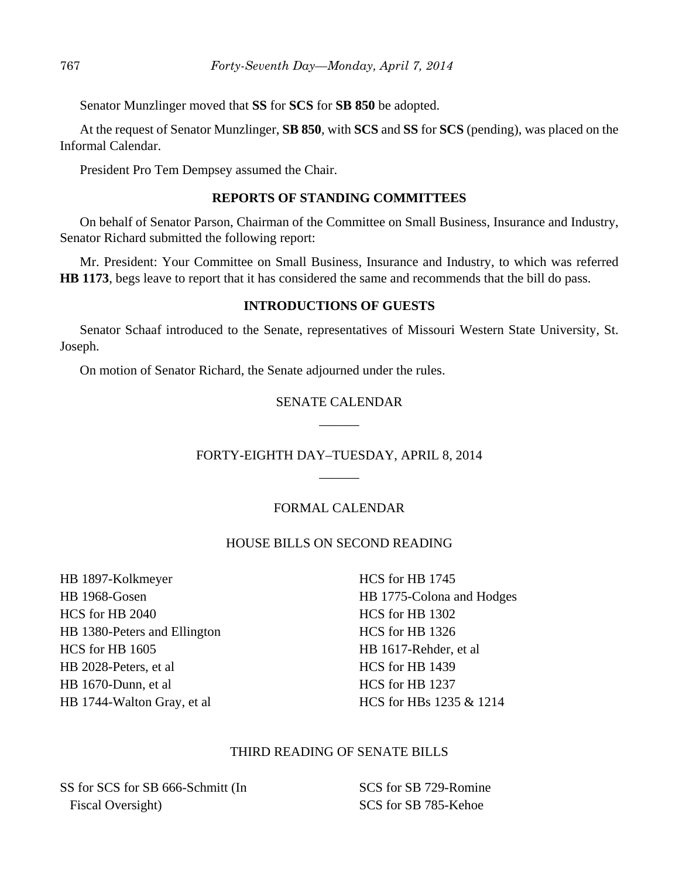Senator Munzlinger moved that **SS** for **SCS** for **SB 850** be adopted.

At the request of Senator Munzlinger, **SB 850**, with **SCS** and **SS** for **SCS** (pending), was placed on the Informal Calendar.

President Pro Tem Dempsey assumed the Chair.

#### **REPORTS OF STANDING COMMITTEES**

On behalf of Senator Parson, Chairman of the Committee on Small Business, Insurance and Industry, Senator Richard submitted the following report:

Mr. President: Your Committee on Small Business, Insurance and Industry, to which was referred **HB 1173**, begs leave to report that it has considered the same and recommends that the bill do pass.

## **INTRODUCTIONS OF GUESTS**

Senator Schaaf introduced to the Senate, representatives of Missouri Western State University, St. Joseph.

On motion of Senator Richard, the Senate adjourned under the rules.

# SENATE CALENDAR  $\overline{\phantom{a}}$

# FORTY-EIGHTH DAY–TUESDAY, APRIL 8, 2014  $\overline{\phantom{a}}$

# FORMAL CALENDAR

## HOUSE BILLS ON SECOND READING

HB 1897-Kolkmeyer HB 1968-Gosen HCS for HB 2040 HB 1380-Peters and Ellington HCS for HB 1605 HB 2028-Peters, et al HB 1670-Dunn, et al HB 1744-Walton Gray, et al

HCS for HB 1745 HB 1775-Colona and Hodges HCS for HB 1302 HCS for HB 1326 HB 1617-Rehder, et al HCS for HB 1439 HCS for HB 1237 HCS for HBs 1235 & 1214

## THIRD READING OF SENATE BILLS

SS for SCS for SB 666-Schmitt (In Fiscal Oversight)

SCS for SB 729-Romine SCS for SB 785-Kehoe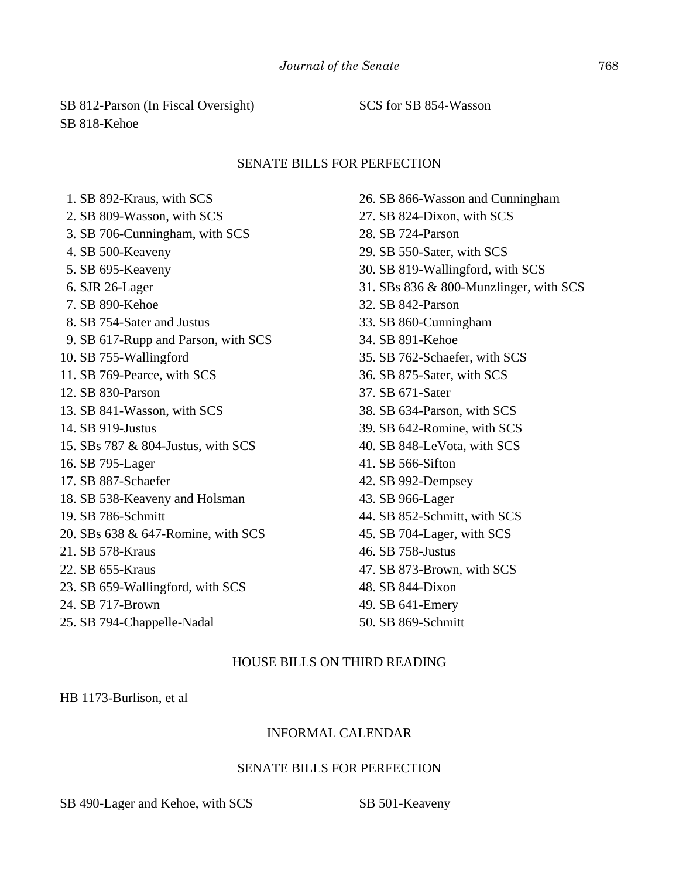# SB 812-Parson (In Fiscal Oversight) SB 818-Kehoe

## SCS for SB 854-Wasson

#### SENATE BILLS FOR PERFECTION

 1. SB 892-Kraus, with SCS 2. SB 809-Wasson, with SCS 3. SB 706-Cunningham, with SCS 4. SB 500-Keaveny 5. SB 695-Keaveny 6. SJR 26-Lager 7. SB 890-Kehoe 8. SB 754-Sater and Justus 9. SB 617-Rupp and Parson, with SCS 10. SB 755-Wallingford 11. SB 769-Pearce, with SCS 12. SB 830-Parson 13. SB 841-Wasson, with SCS 14. SB 919-Justus 15. SBs 787 & 804-Justus, with SCS 16. SB 795-Lager 17. SB 887-Schaefer 18. SB 538-Keaveny and Holsman 19. SB 786-Schmitt 20. SBs 638 & 647-Romine, with SCS 21. SB 578-Kraus 22. SB 655-Kraus 23. SB 659-Wallingford, with SCS 24. SB 717-Brown 25. SB 794-Chappelle-Nadal

26. SB 866-Wasson and Cunningham 27. SB 824-Dixon, with SCS 28. SB 724-Parson 29. SB 550-Sater, with SCS 30. SB 819-Wallingford, with SCS 31. SBs 836 & 800-Munzlinger, with SCS 32. SB 842-Parson 33. SB 860-Cunningham 34. SB 891-Kehoe 35. SB 762-Schaefer, with SCS 36. SB 875-Sater, with SCS 37. SB 671-Sater 38. SB 634-Parson, with SCS 39. SB 642-Romine, with SCS 40. SB 848-LeVota, with SCS 41. SB 566-Sifton 42. SB 992-Dempsey 43. SB 966-Lager 44. SB 852-Schmitt, with SCS 45. SB 704-Lager, with SCS 46. SB 758-Justus 47. SB 873-Brown, with SCS 48. SB 844-Dixon 49. SB 641-Emery 50. SB 869-Schmitt

## HOUSE BILLS ON THIRD READING

HB 1173-Burlison, et al

#### INFORMAL CALENDAR

#### SENATE BILLS FOR PERFECTION

SB 490-Lager and Kehoe, with SCS SB 501-Keaveny